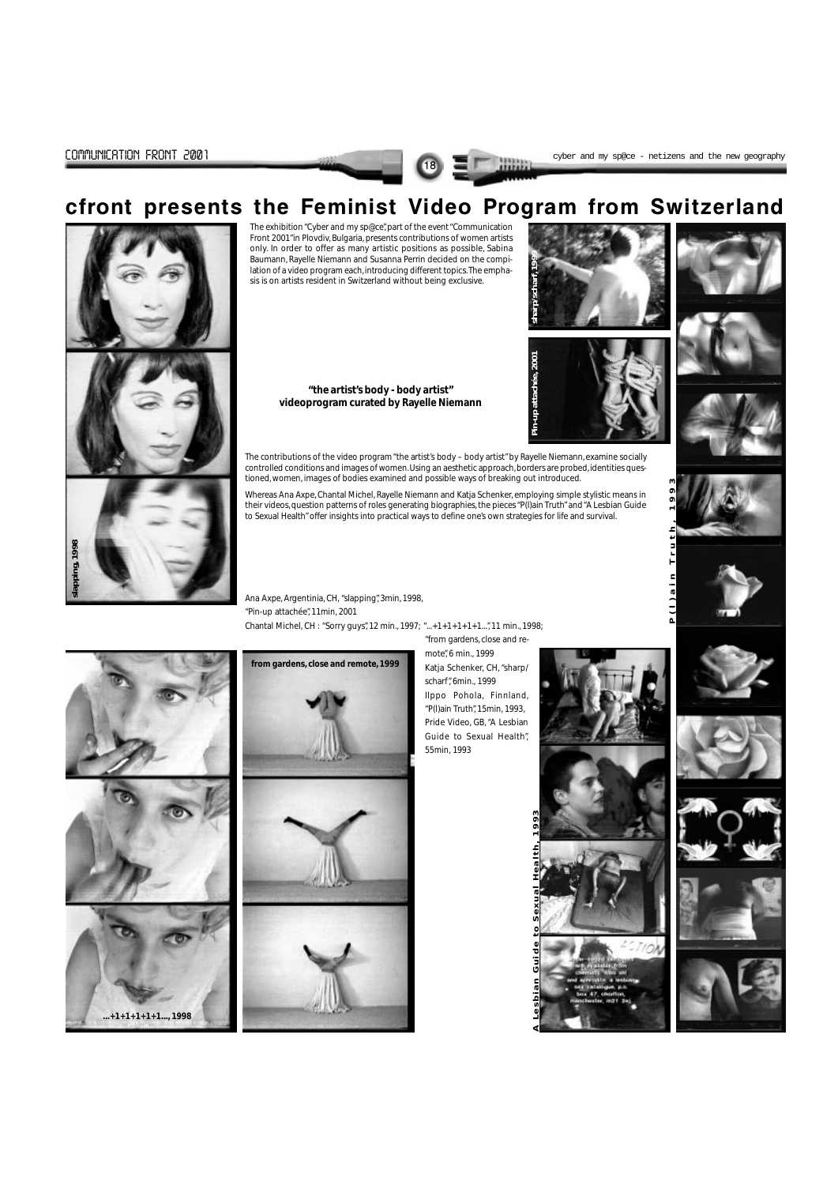

# cfront presents the Feminist Video Program from Switzerland

The exhibition "Cyber and my sp@ce", part of the event "Communication Front 2001"in Plovdiv, Bulgaria, presents contributions of women artists only. In order to offer as many artistic positions as possible, Sabina Baumann, Rayelle Niemann and Susanna Perrin decided on the compilation of a video program each, introducing different topics. The emphasis is on artists resident in Switzerland without being exclusive.

> **"the artist's body - body artist" videoprogram curated by Rayelle Niemann**

The contributions of the video program "the artist's body – body artist" by Rayelle Niemann, examine socially controlled conditions and images of women. Using an aesthetic approach, borders are probed, identities questioned, women, images of bodies examined and possible ways of breaking out introduced.

Whereas Ana Axpe, Chantal Michel, Rayelle Niemann and Katja Schenker, employing simple stylistic means in their videos, question patterns of roles generating biographies, the pieces "P(l)ain Truth" and "A Lesbian Guide to Sexual Health" offer insights into practical ways to define one's own strategies for life and survival.



Ana Axpe, Argentinia, CH, "slapping", 3min, 1998, "Pin-up attachée", 11min, 2001 Chantal Michel, CH : "Sorry guys", 12 min., 1997; "...+1+1+1+1+1...", 11 min., 1998;

> "from gardens, close and remote", 6 min., 1999 Katja Schenker, CH, "sharp/ scharf", 6min., 1999 Ilppo Pohola, Finnland, "P(l)ain Truth", 15min, 1993, Pride Video, GB, "A Lesbian Guide to Sexual Health", 55min, 1993













**from gardens, close and remote, 1999**